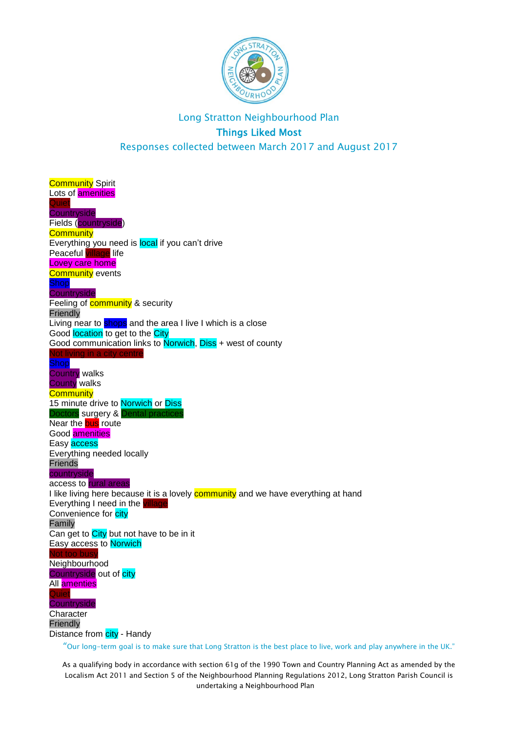

**Community Spirit** Lots of **amenities** Quiet **Countryside** Fields (countryside) **Community** Everything you need is local if you can't drive Peaceful village life Lovey care home **Community** events Shop **Countryside** Feeling of **community** & security **Friendly** Living near to shops and the area I live I which is a close Good location to get to the City Good communication links to Norwich, Diss + west of county Not living in a city centre Shop Country walks County walks **Community** 15 minute drive to Norwich or Diss Doctors surgery & Dental practices Near the **bus** route Good amenities Easy **access** Everything needed locally Friends countryside access to rural areas I like living here because it is a lovely **community** and we have everything at hand Everything I need in the *village* Convenience for city Family Can get to  $City$  but not have to be in it Easy access to Norwich too bus Neighbourhood Countryside out of city All amenties **Quiet Countryside Character** Friendly Distance from city - Handy

"Our long-term goal is to make sure that Long Stratton is the best place to live, work and play anywhere in the UK."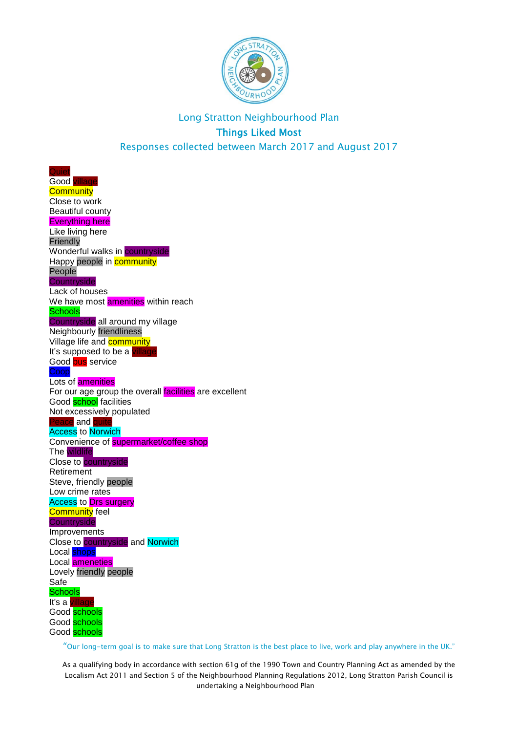

**Quiet** Good **Community** Close to work Beautiful county Everything here Like living here Friendly Wonderful walks in **countryside** Happy people in **community** People **Countryside** Lack of houses We have most **amenities** within reach **Schools** Countryside all around my village Neighbourly friendliness Village life and **community** It's supposed to be a village Good bus service Coop Lots of amenities For our age group the overall  $f_{\text{acilities}}$  are excellent Good **school** facilities Not excessively populated Peace and <mark>quite</mark> **Access** to **Norwich** Convenience of supermarket/coffee shop The wildlife Close to countryside Retirement Steve, friendly people Low crime rates Access to Drs surgery Community feel **Countryside** Improvements Close to countryside and Norwich Local **shops** Local ameneties Lovely friendly people Safe **Schools** It's a village Good schools Good schools Good schools

"Our long-term goal is to make sure that Long Stratton is the best place to live, work and play anywhere in the UK."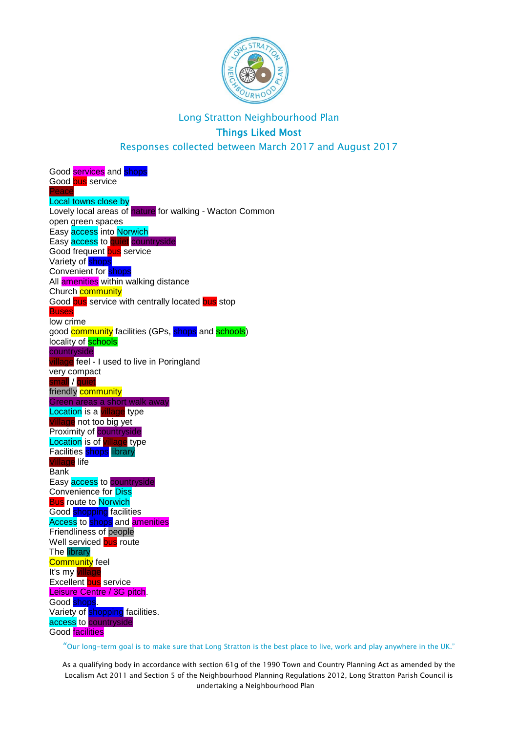

Responses collected between March 2017 and August 2017

Good services and shops Good bus service Peace Local towns close by Lovely local areas of nature for walking - Wacton Common open green spaces Easy access into Norwich Easy access to quiet countryside Good frequent bus service Variety of **shops** Convenient for **shops** All **amenities** within walking distance Church **community** Good bus service with centrally located bus stop Buses low crime good **community** facilities (GPs, shops and schools) locality of **schools** countryside illage feel - I used to live in Poringland very compact .....<br>small / <mark>quiet</mark> friendly community Green areas a short walk away Location is a village type Village not too big yet Proximity of **countryside** Location is of village type Facilities shops library Village life **Bank** Easy access to countryside Convenience for Diss **Bus** route to **Norwich** Good shopping facilities Access to shops and **amenities** Friendliness of people Well serviced bus route **The library Community** feel It's my village Excellent bus service Leisure Centre / 3G pitch. Good <mark>shops</mark>. Variety of **shopping** facilities. access to countryside Good facilities

"Our long-term goal is to make sure that Long Stratton is the best place to live, work and play anywhere in the UK."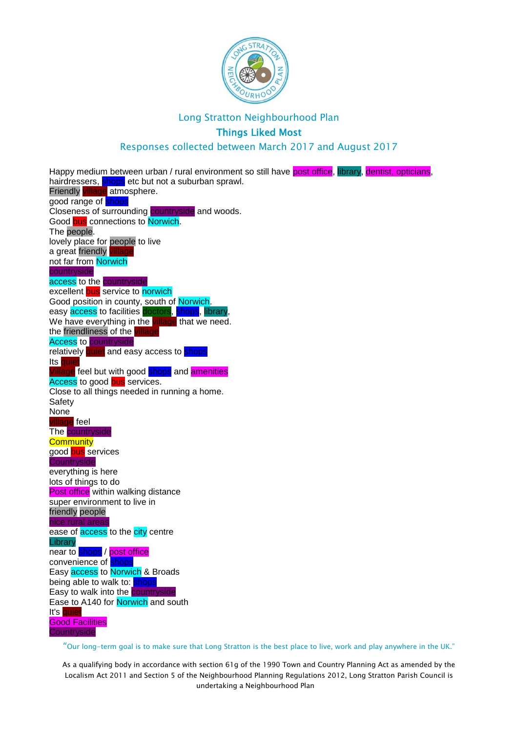

#### Long Stratton Neighbourhood Plan

### Things Liked Most

#### Responses collected between March 2017 and August 2017

Happy medium between urban / rural environment so still have post office, library, dentist, opticians, hairdressers, shops etc but not a suburban sprawl. Friendly village atmosphere. good range of shops Closeness of surrounding countryside and woods. Good bus connections to Norwich. The people. lovely place for people to live a great friendly vill not far from Norwich countryside access to the countryside excellent bus service to norwich Good position in county, south of Norwich. easy access to facilities doctors, shops, library, We have everything in the village that we need. the friendliness of the  $\overline{\mathsf{v}}$ il Access to countryside relatively quiet and easy access to shops Its quie age feel but with good <mark>shops</mark> and <mark>amenities</mark> Access to good bus services. Close to all things needed in running a home. Safety None village feel The **countryside Community** good bus services **Countryside** everything is here lots of things to do **Post office** within walking distance super environment to live in friendly people nice rural areas ease of **access** to the **city** centre Library near to shops / post office convenience of **shops** Easy access to Norwich & Broads being able to walk to: shops Easy to walk into the **countryside** Ease to A140 for **Norwich** and south It's quiet Good Facilities **Countryside** 

"Our long-term goal is to make sure that Long Stratton is the best place to live, work and play anywhere in the UK."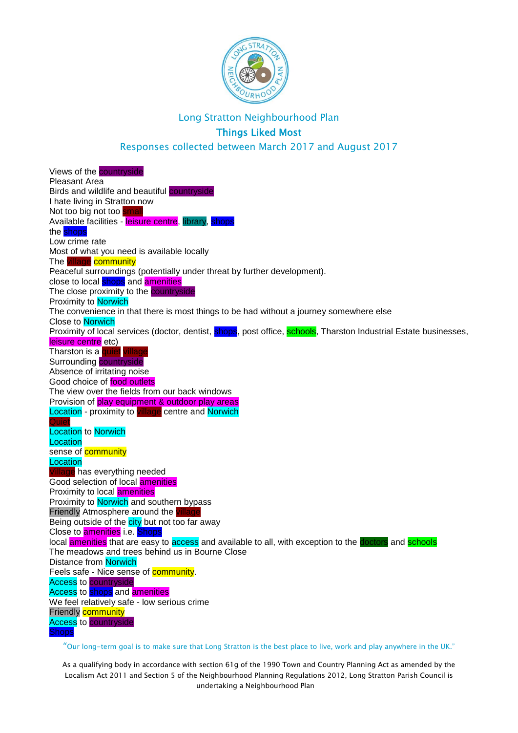

Responses collected between March 2017 and August 2017

Views of the **countryside** Pleasant Area Birds and wildlife and beautiful countryside I hate living in Stratton now Not too big not too small Available facilities - leisure centre, library, shops the **shops** Low crime rate Most of what you need is available locally The village community Peaceful surroundings (potentially under threat by further development). close to local shops and amenities The close proximity to the **countryside** Proximity to Norwich The convenience in that there is most things to be had without a journey somewhere else Close to Norwich Proximity of local services (doctor, dentist, shops, post office, schools, Tharston Industrial Estate businesses, leisure centre etc) Tharston is a quiet villa Surrounding countryside Absence of irritating noise Good choice of food outlets The view over the fields from our back windows Provision of play equipment & outdoor play areas Location - proximity to village centre and Norwich **Quiet Location** to Norwich **Location** sense of **community Location** Village has everything needed Good selection of local amenities Proximity to local **amenities** Proximity to Norwich and southern bypass Friendly Atmosphere around the village Being outside of the city but not too far away Close to **amenities** i.e. Shops local **amenities** that are easy to access and available to all, with exception to the **doctors** and **schools** The meadows and trees behind us in Bourne Close Distance from Norwich Feels safe - Nice sense of **community**. Access to countryside Access to shops and **amenities** We feel relatively safe - low serious crime Friendly **community Access** to **countryside Shops** 

"Our long-term goal is to make sure that Long Stratton is the best place to live, work and play anywhere in the UK."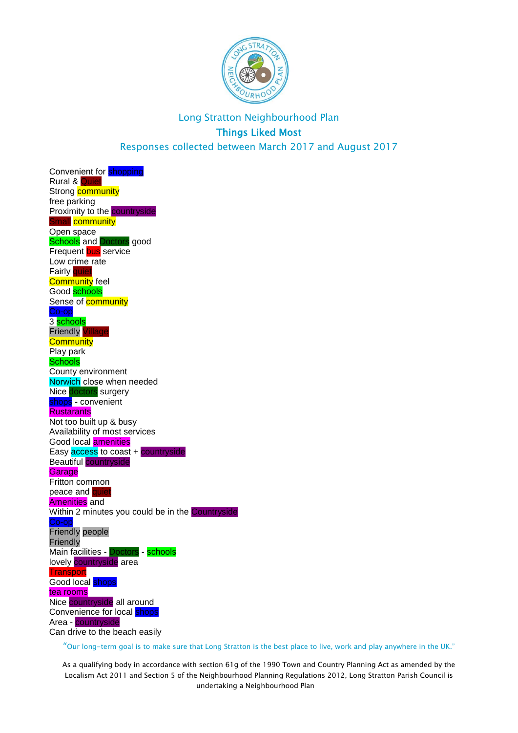

Convenient for **shopping Rural & Quie** Strong **community** free parking Proximity to the countryside Small community Open space **Schools** and Doctors good Frequent bus service Low crime rate Fairly quiet **Community** feel Good schools Sense of **community** Co-op 3 schools **Friendly** Vill **Community** Play park **Schools** County environment Norwich close when needed Nice doctors surgery shops - convenient **Rustarants** Not too built up & busy Availability of most services Good local amenities Easy access to coast + countryside Beautiful countryside **Garage** Fritton common peace and quie Amenities and Within 2 minutes you could be in the Countryside Friendly people **Friendly** Main facilities - Doctors - schools lovely countryside area **Transport** Good local **shops** tea rooms Nice countryside all around Convenience for local shops Area - countryside Can drive to the beach easily

"Our long-term goal is to make sure that Long Stratton is the best place to live, work and play anywhere in the UK."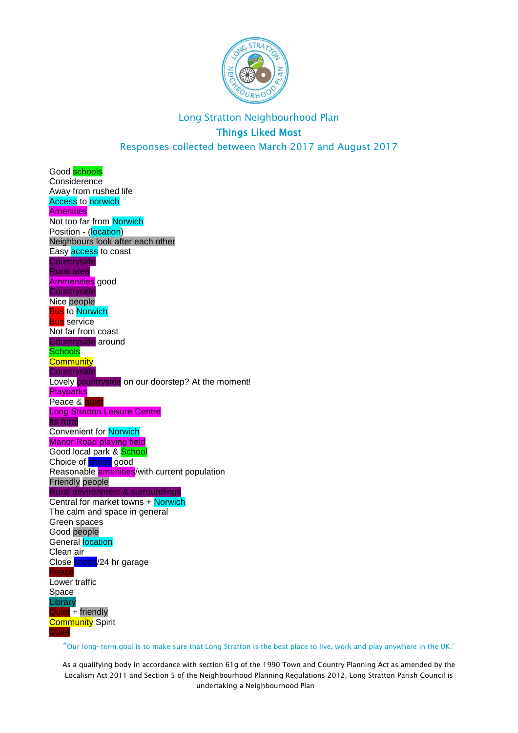

Good **schools Considerence** Away from rushed life Access to norwich **Amenities** Not too far from Norwich Position - (location) Neighbours look after each other Easy **access** to coast **Countryside** Rural area Ammenities good **Countryside** Nice people **Bus** to Norwich **Bus** service Not far from coast Countryside around Schools **Community Countryside** Lovely countryside on our doorstep? At the moment! **Playparks** Peace & quiet Long Stratton Leisure Centre Its rural Convenient for Norwich Manor Road playing field Good local park & School Choice of **shops** good Reasonable **amenities**/with current population Friendly people Rural environment & surroundings Central for market towns + Norwich The calm and space in general Green spaces Good people General location Clean air Close shops/24 hr garage Peace Lower traffic Space **Library** Quiet + friendly **Community Spirit** Quiet

"Our long-term goal is to make sure that Long Stratton is the best place to live, work and play anywhere in the UK."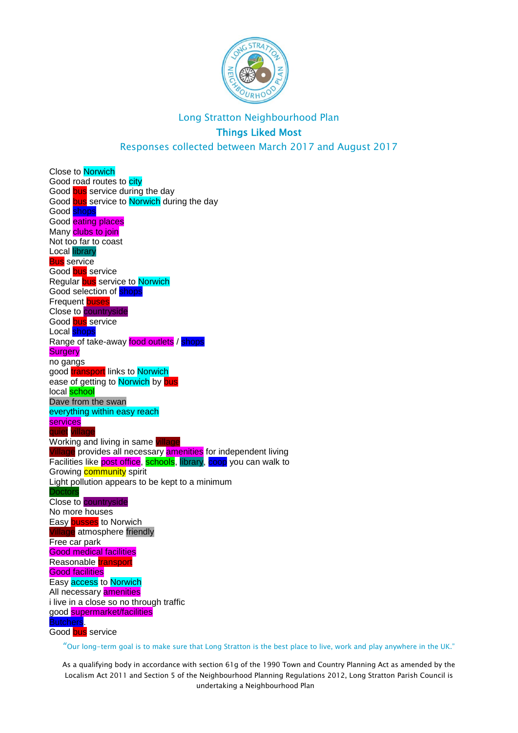

Responses collected between March 2017 and August 2017

Close to Norwich Good road routes to city Good bus service during the day Good bus service to Norwich during the day Good **shops** Good eating places Many clubs to join Not too far to coast Local library **Bus** service Good bus service Regular bus service to Norwich Good selection of **shops** Frequent buses Close to countryside Good **bus** service Local **shops** Range of take-away food outlets / shops **Surgery** no gangs good **transport** links to **Norwich** ease of getting to Norwich by bus local **school** Dave from the swan everything within easy reach services quiet <mark>village</mark> Working and living in same village Village provides all necessary **amenities** for independent living Facilities like post office, schools, library, coop you can walk to Growing **community** spirit Light pollution appears to be kept to a minimum **Doctors** Close to countryside No more houses Easy busses to Norwich age atmosphere friendly Free car park Good medical facilities Reasonable **transport** Good facilities Easy access to Norwich All necessary **amenities** i live in a close so no through traffic good supermarket/facilities Butchers. Good bus service

"Our long-term goal is to make sure that Long Stratton is the best place to live, work and play anywhere in the UK."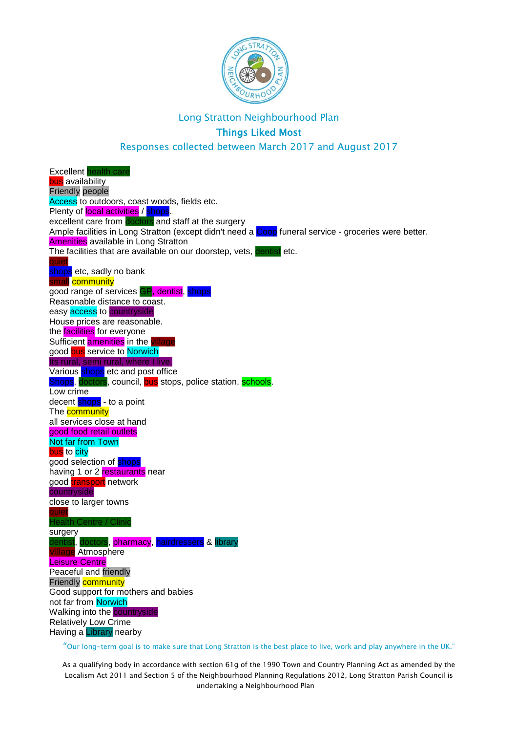

# Long Stratton Neighbourhood Plan

## Things Liked Most

Responses collected between March 2017 and August 2017

Excellent health care bus availability Friendly people Access to outdoors, coast woods, fields etc. Plenty of local activities / shops. excellent care from doctors and staff at the surgery Ample facilities in Long Stratton (except didn't need a Coop funeral service - groceries were better. **Amenities** available in Long Stratton The facilities that are available on our doorstep, vets, dentist etc. quiet sh<mark>ops</mark> etc, sadly no bank mall community good range of services GP, dentist, shops Reasonable distance to coast. easy access to countryside House prices are reasonable. the **facilities** for everyone Sufficient **amenities** in the good **bus** service to **Norwich** Its rural, semi rural, where I live. Various shops etc and post office Shops, doctors, council, bus stops, police station, schools. Low crime decent shops - to a point The **community** all services close at hand good food retail outlets Not far from Town bus to city good selection of **shops** having 1 or 2 **restaurants** near good transport network countryside close to larger towns quiet Health Centre / Clinic surgery dentist, doctors, pharmacy, hairdressers & library Atmosphere Leisure Centre Peaceful and friendly Friendly **community** Good support for mothers and babies not far from Norwich Walking into the **countryside** Relatively Low Crime Having a Library nearby

"Our long-term goal is to make sure that Long Stratton is the best place to live, work and play anywhere in the UK."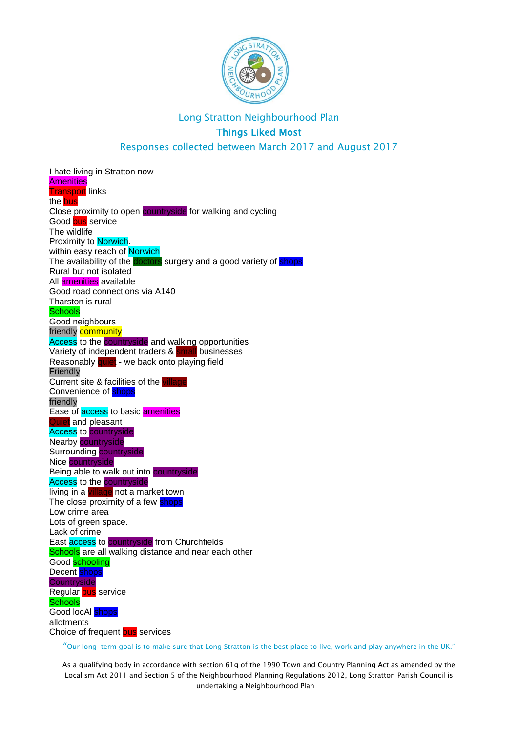

Responses collected between March 2017 and August 2017

I hate living in Stratton now **Amenities Transport** links the **bus** Close proximity to open countryside for walking and cycling Good bus service The wildlife Proximity to Norwich. within easy reach of Norwich The availability of the **doctors** surgery and a good variety of shops Rural but not isolated All amenities available Good road connections via A140 Tharston is rural Schools Good neighbours friendly **community** Access to the countryside and walking opportunities Variety of independent traders & small businesses Reasonably quiet - we back onto playing field **Friendly** Current site & facilities of the Convenience of **shops** friendly Ease of **access** to basic **amenities** Quiet and pleasant **Access** to **countryside** Nearby countryside Surrounding countryside Nice countryside Being able to walk out into countryside **Access** to the **countryside** living in a village not a market town The close proximity of a few shops Low crime area Lots of green space. Lack of crime East **access** to **countryside** from Churchfields Schools are all walking distance and near each other Good **schooling** Decent **shops Countryside** Regular bus service **Schools** Good locAl shops allotments Choice of frequent bus services

"Our long-term goal is to make sure that Long Stratton is the best place to live, work and play anywhere in the UK."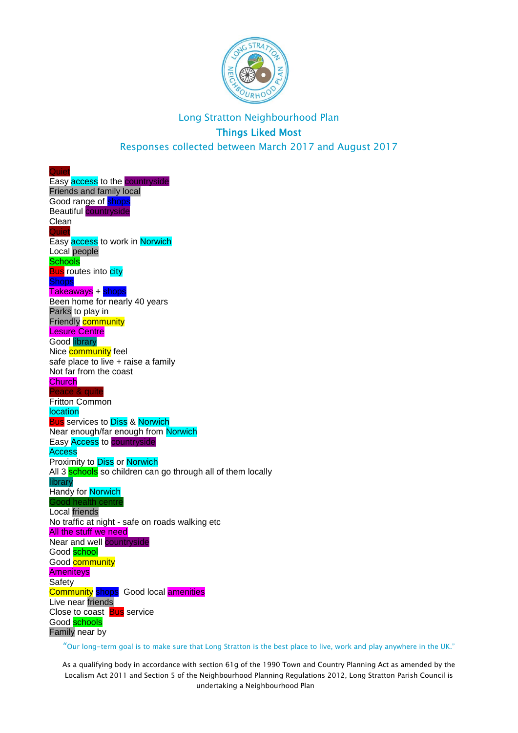

Easy **access** to the **countryside** Friends and family local Good range of **shops** Beautiful countryside Clean **Quiet** Easy access to work in Norwich Local people **Schools Bus** routes into city Takeaways + shops Been home for nearly 40 years Parks to play in Friendly **community** Lesure Centre Good library Nice **community** feel safe place to live + raise a family Not far from the coast **Church** Peace & quite Fritton Common location **Bus** services to **Diss & Norwich** Near enough/far enough from Norwich Easy Access to countryside **Access** Proximity to Diss or Norwich All 3 schools so children can go through all of them locally library Handy for **Norwich** Good health centre Local friends No traffic at night - safe on roads walking etc **All the stuff we need** Near and well **countryside** Good **school** Good **community Ameniteys Safety Community shops** Good local **amenities** Live near friends Close to coast **Bus** service Good **schools** Family near by

**Quiet** 

"Our long-term goal is to make sure that Long Stratton is the best place to live, work and play anywhere in the UK."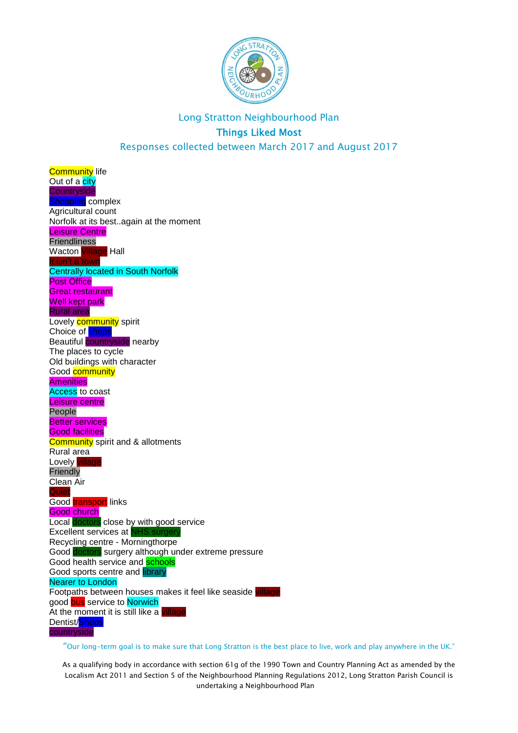

**Community** life Out of a city **Countryside Shopping complex** Agricultural count Norfolk at its best..again at the moment Leisure Centre Friendliness Wacton Village Hall It isn't a town Centrally located in South Norfolk **Post Office** Great restaurant Well kept park Rural area Lovely **community** spirit Choice of <mark>shops</mark> Beautiful countryside nearby The places to cycle Old buildings with character Good **community Amenities** Access to coast Leisure centre People Better services Good facilities **Community** spirit and & allotments Rural area Lovely village **Friendly** Clean Air **Quiet** Good transport links Good church Local doctors close by with good service Excellent services at NH Recycling centre - Morningthorpe Good doctors surgery although under extreme pressure Good health service and **schools** Good sports centre and **library** Nearer to London Footpaths between houses makes it feel like seaside village good bus service to Norwich At the moment it is still like a village Dentist/Shops countryside

"Our long-term goal is to make sure that Long Stratton is the best place to live, work and play anywhere in the UK."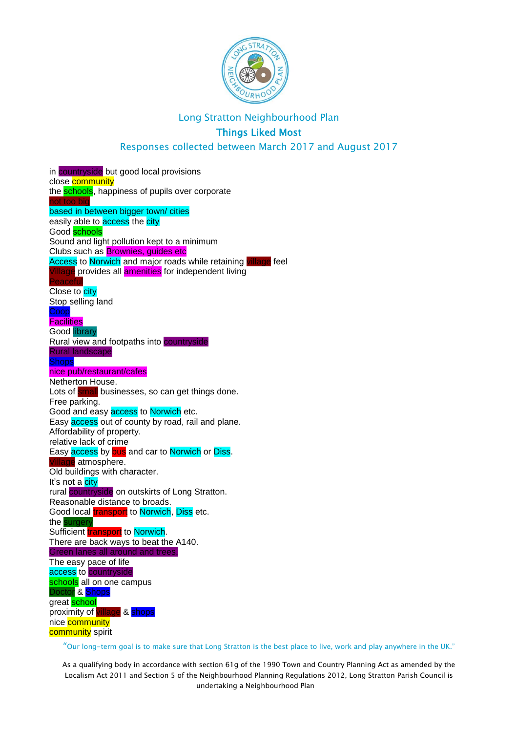

#### Long Stratton Neighbourhood Plan

## Things Liked Most

#### Responses collected between March 2017 and August 2017

in countryside but good local provisions close community the **schools**, happiness of pupils over corporate not too big based in between bigger town/ cities easily able to **access** the city Good schools Sound and light pollution kept to a minimum Clubs such as Brownies, guides etc Access to Norwich and major roads while retaining village feel Village provides all amenities for independent living Peaceful Close to city Stop selling land Coop **Facilities** Good library Rural view and footpaths into countryside Rural landscape **Shops** nice pub/restaurant/cafes Netherton House. Lots of small businesses, so can get things done. Free parking. Good and easy **access** to **Norwich** etc. Easy **access** out of county by road, rail and plane. Affordability of property. relative lack of crime Easy **access** by **bus** and car to **Norwich** or **Diss.** Village atmosphere. Old buildings with character. It's not a city rural countryside on outskirts of Long Stratton. Reasonable distance to broads. Good local *transport* to Norwich, Diss etc. the surgery Sufficient **transport** to Norwich. There are back ways to beat the A140. Green lanes all around and trees. The easy pace of life access to countryside schools all on one campus Doctor & Shops great **school** proximity of village & shops nice community community spirit

"Our long-term goal is to make sure that Long Stratton is the best place to live, work and play anywhere in the UK."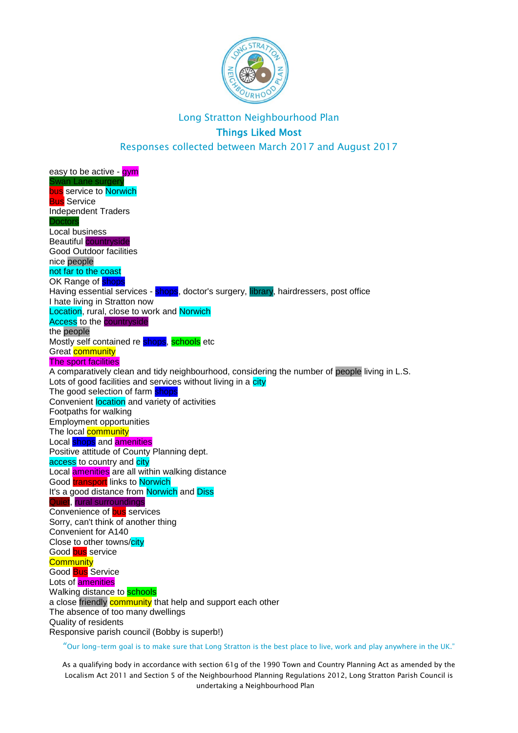

easy to be active - **gym** Swan Lane surger bus service to Norwich **Bus** Service Independent Traders **Doctors** Local business Beautiful countryside Good Outdoor facilities nice people not far to the coast OK Range of **shops** Having essential services - shops, doctor's surgery, library, hairdressers, post office I hate living in Stratton now Location, rural, close to work and Norwich Access to the countryside the people Mostly self contained re **shops**, schools etc Great **community** The sport facilities A comparatively clean and tidy neighbourhood, considering the number of people living in L.S. Lots of good facilities and services without living in a city The good selection of farm shops Convenient location and variety of activities Footpaths for walking Employment opportunities The local **community** Local shops and amenities Positive attitude of County Planning dept. access to country and city Local amenities are all within walking distance Good transport links to Norwich It's a good distance from Norwich and Diss Quiet, rural surroundings Convenience of **bus** services Sorry, can't think of another thing Convenient for A140 Close to other towns/city Good bus service **Community** Good **Bus** Service Lots of **amenities** Walking distance to **schools** a close friendly community that help and support each other The absence of too many dwellings Quality of residents Responsive parish council (Bobby is superb!)

"Our long-term goal is to make sure that Long Stratton is the best place to live, work and play anywhere in the UK."